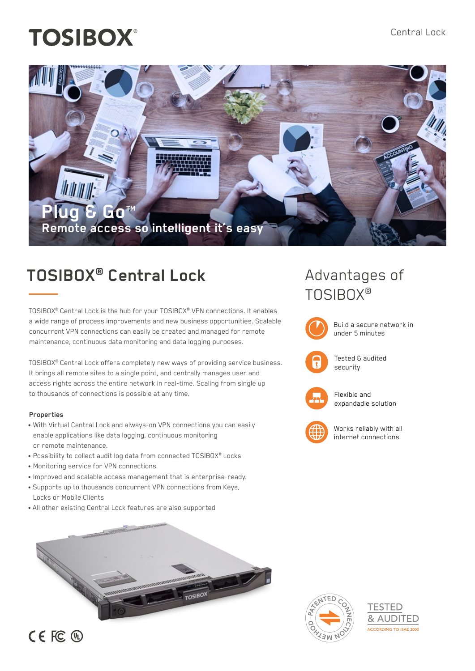# **TOSIBOX®**



# **TOSIBOX® Central Lock**

TOSIBOX® Central Lock is the hub for your TOSIBOX® VPN connections. It enables a wide range of process improvements and new business opportunities. Scalable concurrent VPN connections can easily be created and managed for remote maintenance, continuous data monitoring and data logging purposes.

TOSIBOX® Central Lock offers completely new ways of providing service business. It brings all remote sites to a single point, and centrally manages user and access rights across the entire network in real-time. Scaling from single up to thousands of connections is possible at any time.

#### **Properties**

- With Virtual Central Lock and always-on VPN connections you can easily enable applications like data logging, continuous monitoring or remote maintenance.
- Possibility to collect audit log data from connected TOSIBOX® Locks
- Monitoring service for VPN connections
- Improved and scalable access management that is enterprise-ready.
- Supports up to thousands concurrent VPN connections from Keys, Locks or Mobile Clients
- All other existing Central Lock features are also supported



## Advantages of TOSIBOX®





Flexible and expandadle solution



Works reliably with all internet connections